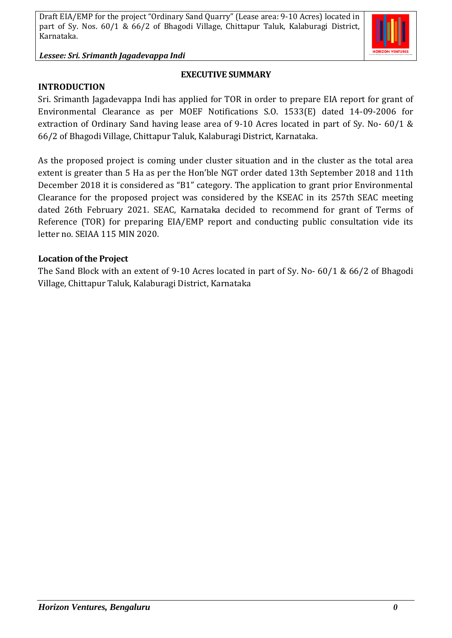*Lessee: Sri. Srimanth Jagadevappa Indi*

#### **EXECUTIVE SUMMARY**

**INTRODUCTION**

Sri. Srimanth Jagadevappa Indi has applied for TOR in order to prepare EIA report for grant of Environmental Clearance as per MOEF Notifications S.O. 1533(E) dated 14-09-2006 for extraction of Ordinary Sand having lease area of 9-10 Acres located in part of Sy. No- 60/1 & 66/2 of Bhagodi Village, Chittapur Taluk, Kalaburagi District, Karnataka.

As the proposed project is coming under cluster situation and in the cluster as the total area extent is greater than 5 Ha as per the Hon'ble NGT order dated 13th September 2018 and 11th December 2018 it is considered as "B1" category. The application to grant prior Environmental Clearance for the proposed project was considered by the KSEAC in its 257th SEAC meeting dated 26th February 2021. SEAC, Karnataka decided to recommend for grant of Terms of Reference (TOR) for preparing EIA/EMP report and conducting public consultation vide its letter no. SEIAA 115 MIN 2020.

#### **Location of the Project**

The Sand Block with an extent of 9-10 Acres located in part of Sy. No- 60/1 & 66/2 of Bhagodi Village, Chittapur Taluk, Kalaburagi District, Karnataka

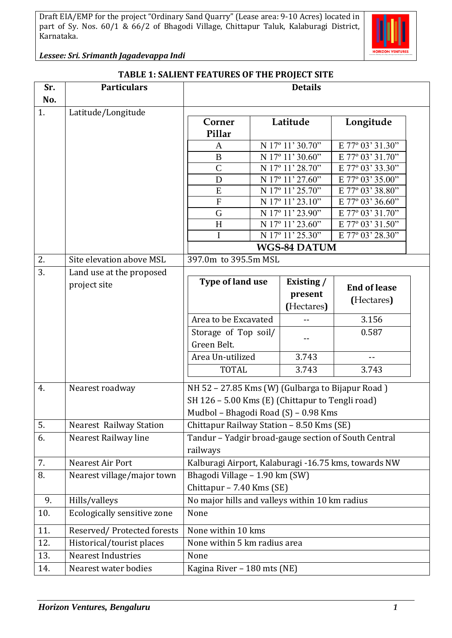

*Lessee: Sri. Srimanth Jagadevappa Indi*

#### **TABLE 1: SALIENT FEATURES OF THE PROJECT SITE**

| Latitude/Longitude<br>Site elevation above MSL<br>Land use at the proposed<br>project site | Corner<br>Pillar<br>$\mathbf{A}$<br>B<br>$\mathsf{C}$<br>D<br>E<br>$\overline{F}$<br>G<br>H<br>$\mathbf I$<br>Type of land use |                             | Latitude<br>N 17° 11' 30.70"<br>N 17° 11' 30.60"<br>N 17º 11' 28.70"<br>N 17° 11' 27.60"<br>N 17º 11' 25.70"<br>N 17° 11' 23.10"<br>N 17º 11' 23.90"<br>N 17° 11' 23.60"<br>N 17º 11' 25.30"<br><b>WGS-84 DATUM</b><br>Existing / | Longitude<br>E 77° 03' 31.30"<br>E 77° 03' 31.70"<br>E 77° 03' 33.30"<br>E 77° 03' 35.00"<br>E 77° 03' 38.80"<br>E 77° 03' 36.60"<br>E 77° 03' 31.70"<br>E 77° 03' 31.50"<br>E 77° 03' 28.30" |                                                |  |  |  |
|--------------------------------------------------------------------------------------------|--------------------------------------------------------------------------------------------------------------------------------|-----------------------------|-----------------------------------------------------------------------------------------------------------------------------------------------------------------------------------------------------------------------------------|-----------------------------------------------------------------------------------------------------------------------------------------------------------------------------------------------|------------------------------------------------|--|--|--|
|                                                                                            |                                                                                                                                |                             |                                                                                                                                                                                                                                   |                                                                                                                                                                                               |                                                |  |  |  |
|                                                                                            |                                                                                                                                |                             |                                                                                                                                                                                                                                   |                                                                                                                                                                                               |                                                |  |  |  |
|                                                                                            |                                                                                                                                |                             |                                                                                                                                                                                                                                   |                                                                                                                                                                                               |                                                |  |  |  |
|                                                                                            |                                                                                                                                |                             |                                                                                                                                                                                                                                   |                                                                                                                                                                                               |                                                |  |  |  |
|                                                                                            |                                                                                                                                |                             |                                                                                                                                                                                                                                   |                                                                                                                                                                                               |                                                |  |  |  |
|                                                                                            |                                                                                                                                |                             |                                                                                                                                                                                                                                   |                                                                                                                                                                                               |                                                |  |  |  |
|                                                                                            |                                                                                                                                |                             |                                                                                                                                                                                                                                   |                                                                                                                                                                                               |                                                |  |  |  |
|                                                                                            |                                                                                                                                |                             |                                                                                                                                                                                                                                   |                                                                                                                                                                                               |                                                |  |  |  |
|                                                                                            |                                                                                                                                |                             |                                                                                                                                                                                                                                   |                                                                                                                                                                                               |                                                |  |  |  |
|                                                                                            |                                                                                                                                |                             |                                                                                                                                                                                                                                   |                                                                                                                                                                                               |                                                |  |  |  |
|                                                                                            |                                                                                                                                |                             |                                                                                                                                                                                                                                   |                                                                                                                                                                                               |                                                |  |  |  |
|                                                                                            |                                                                                                                                |                             |                                                                                                                                                                                                                                   |                                                                                                                                                                                               |                                                |  |  |  |
|                                                                                            |                                                                                                                                |                             |                                                                                                                                                                                                                                   |                                                                                                                                                                                               |                                                |  |  |  |
|                                                                                            |                                                                                                                                |                             |                                                                                                                                                                                                                                   |                                                                                                                                                                                               |                                                |  |  |  |
|                                                                                            |                                                                                                                                |                             |                                                                                                                                                                                                                                   |                                                                                                                                                                                               | 397.0m to 395.5m MSL                           |  |  |  |
|                                                                                            |                                                                                                                                |                             |                                                                                                                                                                                                                                   |                                                                                                                                                                                               |                                                |  |  |  |
|                                                                                            |                                                                                                                                |                             |                                                                                                                                                                                                                                   | <b>End of lease</b>                                                                                                                                                                           |                                                |  |  |  |
|                                                                                            |                                                                                                                                |                             | present                                                                                                                                                                                                                           | (Hectares)                                                                                                                                                                                    |                                                |  |  |  |
|                                                                                            |                                                                                                                                |                             | (Hectares)                                                                                                                                                                                                                        |                                                                                                                                                                                               |                                                |  |  |  |
|                                                                                            | Area to be Excavated                                                                                                           |                             |                                                                                                                                                                                                                                   | 3.156                                                                                                                                                                                         |                                                |  |  |  |
|                                                                                            | Storage of Top soil/                                                                                                           |                             |                                                                                                                                                                                                                                   | 0.587                                                                                                                                                                                         |                                                |  |  |  |
|                                                                                            | Green Belt.                                                                                                                    |                             |                                                                                                                                                                                                                                   |                                                                                                                                                                                               |                                                |  |  |  |
|                                                                                            | Area Un-utilized                                                                                                               |                             | 3.743                                                                                                                                                                                                                             | $-$                                                                                                                                                                                           |                                                |  |  |  |
|                                                                                            | <b>TOTAL</b>                                                                                                                   |                             | 3.743                                                                                                                                                                                                                             | 3.743                                                                                                                                                                                         |                                                |  |  |  |
|                                                                                            |                                                                                                                                |                             |                                                                                                                                                                                                                                   |                                                                                                                                                                                               |                                                |  |  |  |
| Nearest roadway                                                                            | NH 52 - 27.85 Kms (W) (Gulbarga to Bijapur Road)                                                                               |                             |                                                                                                                                                                                                                                   |                                                                                                                                                                                               |                                                |  |  |  |
|                                                                                            | SH 126 - 5.00 Kms (E) (Chittapur to Tengli road)                                                                               |                             |                                                                                                                                                                                                                                   |                                                                                                                                                                                               |                                                |  |  |  |
|                                                                                            | Mudbol - Bhagodi Road (S) - 0.98 Kms                                                                                           |                             |                                                                                                                                                                                                                                   |                                                                                                                                                                                               |                                                |  |  |  |
| <b>Nearest Railway Station</b>                                                             | Chittapur Railway Station - 8.50 Kms (SE)                                                                                      |                             |                                                                                                                                                                                                                                   |                                                                                                                                                                                               |                                                |  |  |  |
| Nearest Railway line                                                                       | Tandur - Yadgir broad-gauge section of South Central                                                                           |                             |                                                                                                                                                                                                                                   |                                                                                                                                                                                               |                                                |  |  |  |
|                                                                                            | railways                                                                                                                       |                             |                                                                                                                                                                                                                                   |                                                                                                                                                                                               |                                                |  |  |  |
| Nearest Air Port                                                                           | Kalburagi Airport, Kalaburagi -16.75 kms, towards NW                                                                           |                             |                                                                                                                                                                                                                                   |                                                                                                                                                                                               |                                                |  |  |  |
| Nearest village/major town                                                                 | Bhagodi Village - 1.90 km (SW)                                                                                                 |                             |                                                                                                                                                                                                                                   |                                                                                                                                                                                               |                                                |  |  |  |
|                                                                                            | Chittapur - 7.40 Kms (SE)                                                                                                      |                             |                                                                                                                                                                                                                                   |                                                                                                                                                                                               |                                                |  |  |  |
|                                                                                            |                                                                                                                                |                             |                                                                                                                                                                                                                                   |                                                                                                                                                                                               |                                                |  |  |  |
| Ecologically sensitive zone                                                                | None                                                                                                                           |                             |                                                                                                                                                                                                                                   |                                                                                                                                                                                               |                                                |  |  |  |
|                                                                                            |                                                                                                                                |                             |                                                                                                                                                                                                                                   |                                                                                                                                                                                               |                                                |  |  |  |
|                                                                                            |                                                                                                                                |                             |                                                                                                                                                                                                                                   |                                                                                                                                                                                               |                                                |  |  |  |
| Historical/tourist places                                                                  |                                                                                                                                |                             |                                                                                                                                                                                                                                   |                                                                                                                                                                                               |                                                |  |  |  |
| <b>Nearest Industries</b>                                                                  |                                                                                                                                | Kagina River - 180 mts (NE) |                                                                                                                                                                                                                                   |                                                                                                                                                                                               |                                                |  |  |  |
|                                                                                            | None within 10 kms<br>None within 5 km radius area<br>None                                                                     |                             |                                                                                                                                                                                                                                   |                                                                                                                                                                                               |                                                |  |  |  |
|                                                                                            | Hills/valleys<br>Reserved/Protected forests                                                                                    |                             |                                                                                                                                                                                                                                   | Nearest water bodies                                                                                                                                                                          | No major hills and valleys within 10 km radius |  |  |  |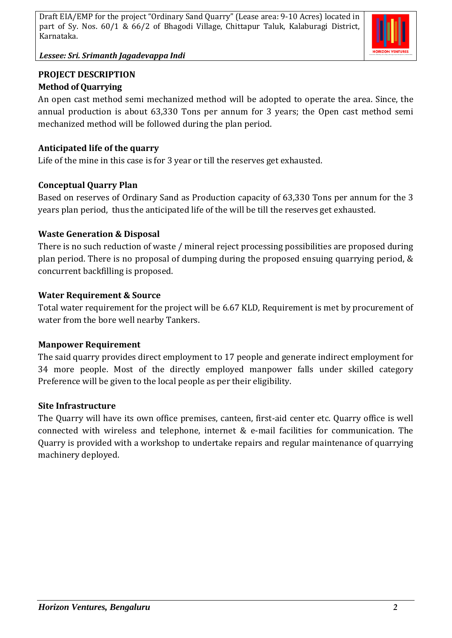

*Lessee: Sri. Srimanth Jagadevappa Indi*

### **PROJECT DESCRIPTION Method of Quarrying**

An open cast method semi mechanized method will be adopted to operate the area. Since, the annual production is about 63,330 Tons per annum for 3 years; the Open cast method semi mechanized method will be followed during the plan period.

# **Anticipated life of the quarry**

Life of the mine in this case is for 3 year or till the reserves get exhausted.

# **Conceptual Quarry Plan**

Based on reserves of Ordinary Sand as Production capacity of 63,330 Tons per annum for the 3 years plan period, thus the anticipated life of the will be till the reserves get exhausted.

# **Waste Generation & Disposal**

There is no such reduction of waste / mineral reject processing possibilities are proposed during plan period. There is no proposal of dumping during the proposed ensuing quarrying period, & concurrent backfilling is proposed.

## **Water Requirement & Source**

Total water requirement for the project will be 6.67 KLD, Requirement is met by procurement of water from the bore well nearby Tankers.

#### **Manpower Requirement**

The said quarry provides direct employment to 17 people and generate indirect employment for 34 more people. Most of the directly employed manpower falls under skilled category Preference will be given to the local people as per their eligibility.

#### **Site Infrastructure**

The Quarry will have its own office premises, canteen, first-aid center etc. Quarry office is well connected with wireless and telephone, internet & e-mail facilities for communication. The Quarry is provided with a workshop to undertake repairs and regular maintenance of quarrying machinery deployed.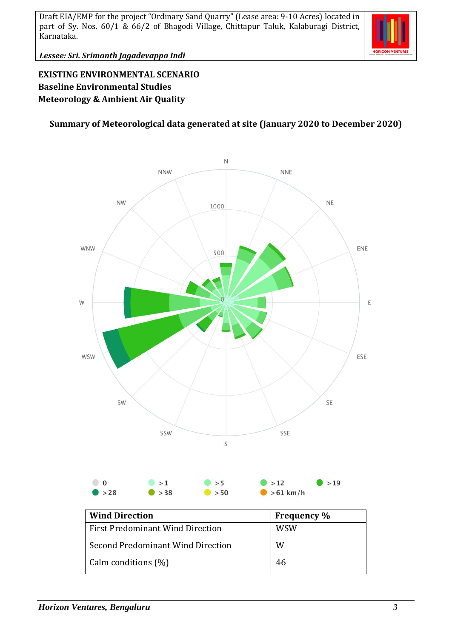

*Lessee: Sri. Srimanth Jagadevappa Indi*

# **EXISTING ENVIRONMENTAL SCENARIO Baseline Environmental Studies Meteorology & Ambient Air Quality**

### **Summary of Meteorological data generated at site (January 2020 to December 2020)**



| <b>Wind Direction</b>             | <b>Frequency</b> % |
|-----------------------------------|--------------------|
| First Predominant Wind Direction  | <b>WSW</b>         |
| Second Predominant Wind Direction | W                  |
| $\vert$ Calm conditions $(\% )$   | 46                 |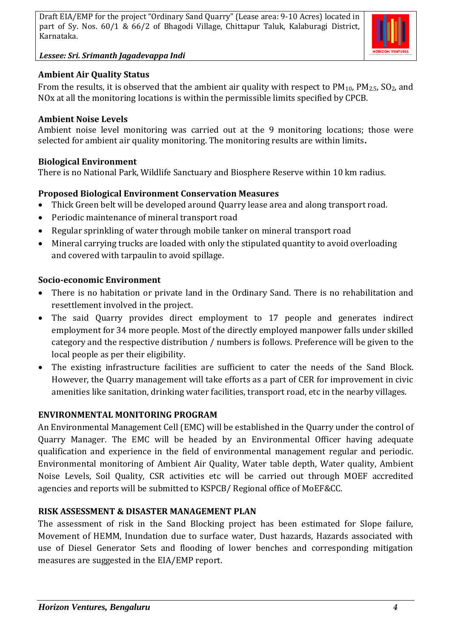*Lessee: Sri. Srimanth Jagadevappa Indi*



### **Ambient Air Quality Status**

From the results, it is observed that the ambient air quality with respect to  $PM_{10}$ ,  $PM_{2.5}$ ,  $SO_2$ , and NOx at all the monitoring locations is within the permissible limits specified by CPCB.

### **Ambient Noise Levels**

Ambient noise level monitoring was carried out at the 9 monitoring locations; those were selected for ambient air quality monitoring. The monitoring results are within limits**.**

### **Biological Environment**

There is no National Park, Wildlife Sanctuary and Biosphere Reserve within 10 km radius.

## **Proposed Biological Environment Conservation Measures**

- Thick Green belt will be developed around Quarry lease area and along transport road.
- Periodic maintenance of mineral transport road
- Regular sprinkling of water through mobile tanker on mineral transport road
- Mineral carrying trucks are loaded with only the stipulated quantity to avoid overloading and covered with tarpaulin to avoid spillage.

## **Socio-economic Environment**

- There is no habitation or private land in the Ordinary Sand. There is no rehabilitation and resettlement involved in the project.
- The said Quarry provides direct employment to 17 people and generates indirect employment for 34 more people. Most of the directly employed manpower falls under skilled category and the respective distribution / numbers is follows. Preference will be given to the local people as per their eligibility.
- The existing infrastructure facilities are sufficient to cater the needs of the Sand Block. However, the Quarry management will take efforts as a part of CER for improvement in civic amenities like sanitation, drinking water facilities, transport road, etc in the nearby villages.

# **ENVIRONMENTAL MONITORING PROGRAM**

An Environmental Management Cell (EMC) will be established in the Quarry under the control of Quarry Manager. The EMC will be headed by an Environmental Officer having adequate qualification and experience in the field of environmental management regular and periodic. Environmental monitoring of Ambient Air Quality, Water table depth, Water quality, Ambient Noise Levels, Soil Quality, CSR activities etc will be carried out through MOEF accredited agencies and reports will be submitted to KSPCB/ Regional office of MoEF&CC.

# **RISK ASSESSMENT & DISASTER MANAGEMENT PLAN**

The assessment of risk in the Sand Blocking project has been estimated for Slope failure, Movement of HEMM, Inundation due to surface water, Dust hazards, Hazards associated with use of Diesel Generator Sets and flooding of lower benches and corresponding mitigation measures are suggested in the EIA/EMP report.